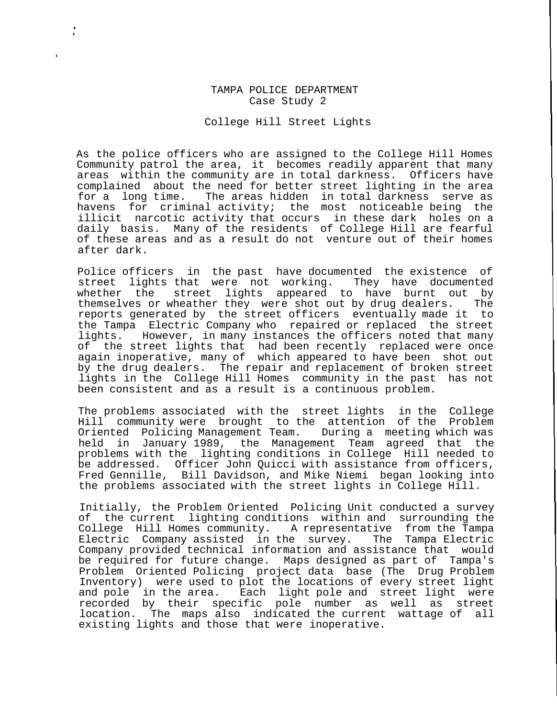## TAMPA POLICE DEPARTMENT Case Study 2

College Hill Street Lights

As the police officers who are assigned to the College Hill Homes Community patrol the area, it becomes readily apparent that many areas within the community are in total darkness. Officers have complained about the need for better street lighting in the area for a long time. The areas hidden in total darkness serve as havens for criminal activity; the most noticeable being the illicit narcotic activity that occurs in these dark holes on a daily basis. Many of the residents of College Hill are fearful of these areas and as a result do not venture out of their homes after dark.

Police officers in the past have documented the existence of street lights that were not working. They have documented whether the street lights appeared to have burnt out by themselves or wheather they were shot out by drug dealers. The reports generated by the street officers eventually made it to the Tampa Electric Company who repaired or replaced the street lights. However, in many instances the officers noted that many of the street lights that had been recently replaced were once again inoperative, many of which appeared to have been shot out by the drug dealers. The repair and replacement of broken street lights in the College Hill Homes community in the past has not been consistent and as a result is a continuous problem.

The problems associated with the street lights in the College Hill community were brought to the attention of the Problem Oriented Policing Management Team. During a meeting which was held in January 1989, the Management Team agreed that the problems with the lighting conditions in College Hill needed to be addressed. Officer John Quicci with assistance from officers, Fred Gennille, Bill Davidson, and Mike Niemi began looking into the problems associated with the street lights in College Hill.

Initially, the Problem Oriented Policing Unit conducted a survey of the current lighting conditions within and surrounding the<br>College Hill Homes community. A representative from the Tampa A representative from the Tampa Electric Company assisted in the survey. The Tampa Electric Company provided technical information and assistance that would be required for future change. Maps designed as part of Tampa's Problem Oriented Policing project data base (The Drug Problem Inventory) were used to plot the locations of every street light and pole in the area. Each light pole and street light were recorded by their specific pole number as well as street location. The maps also indicated the current wattage of all existing lights and those that were inoperative.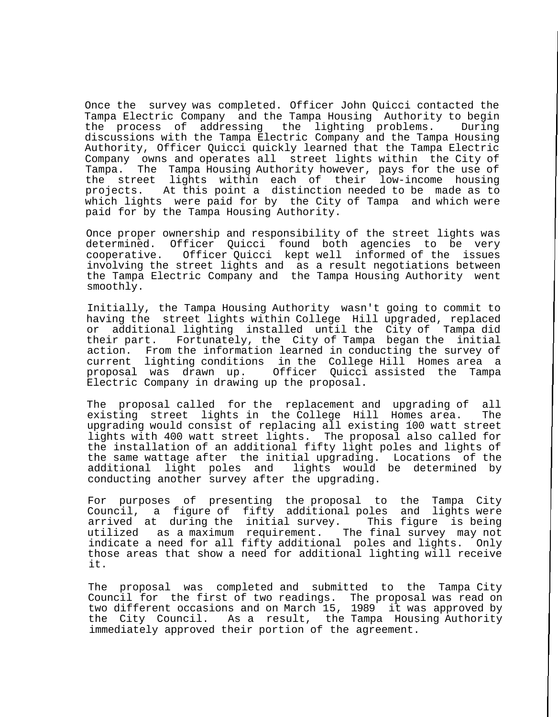Once the survey was completed. Officer John Quicci contacted the Tampa Electric Company and the Tampa Housing Authority to begin the process of addressing the lighting problems. During discussions with the Tampa Electric Company and the Tampa Housing Authority, Officer Quicci quickly learned that the Tampa Electric Company owns and operates all street lights within the City of Tampa. The Tampa Housing Authority however, pays for the use of the street lights within each of their low-income housing projects. At this point a distinction needed to be made as to which lights were paid for by the City of Tampa and which were paid for by the Tampa Housing Authority.

Once proper ownership and responsibility of the street lights was determined. Officer Quicci found both agencies to be very cooperative. Officer Quicci kept well informed of the issues involving the street lights and as a result negotiations between the Tampa Electric Company and the Tampa Housing Authority went smoothly.

Initially, the Tampa Housing Authority wasn't going to commit to having the street lights within College Hill upgraded, replaced or additional lighting installed until the City of Tampa did their part. Fortunately, the City of Tampa began the initial action. From the information learned in conducting the survey of current lighting conditions in the College Hill Homes area a Officer Quicci assisted the Tampa Electric Company in drawing up the proposal.

The proposal called for the replacement and upgrading of all existing street lights in the College Hill Homes area. The upgrading would consist of replacing all existing 100 watt street lights with 400 watt street lights. The proposal also called for the installation of an additional fifty light poles and lights of the same wattage after the initial upgrading. Locations of the additional light poles and lights would be determined by conducting another survey after the upgrading.

For purposes of presenting the proposal to the Tampa City Council, a figure of fifty additional poles and lights were arrived at during the initial survey. This figure is being utilized as a maximum requirement. The final survey may not indicate a need for all fifty additional poles and lights. Only those areas that show a need for additional lighting will receive it.

The proposal was completed and submitted to the Tampa City Council for the first of two readings. The proposal was read on two different occasions and on March 15, 1989 it was approved by the City Council. As a result, the Tampa Housing Authority immediately approved their portion of the agreement.